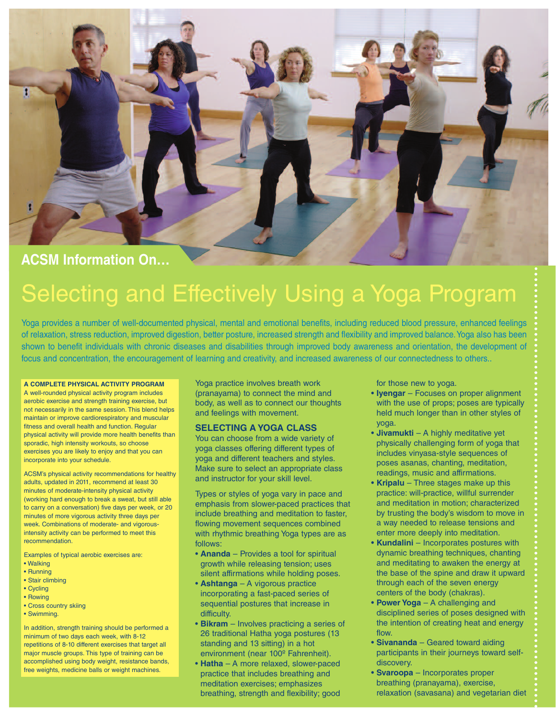

# **ACSM Information On…**

# Selecting and Effectively Using a Yoga Program

Yoga provides a number of well-documented physical, mental and emotional benefits, including reduced blood pressure, enhanced feelings of relaxation, stress reduction, improved digestion, better posture, increased strength and flexibility and improved balance.Yoga also has been shown to benefit individuals with chronic diseases and disabilities through improved body awareness and orientation, the development of focus and concentration, the encouragement of learning and creativity, and increased awareness of our connectedness to others..

#### **A COMPLETE PHYSICAL ACTIVITY PROGRAM**

A well-rounded physical activity program includes aerobic exercise and strength training exercise, but not necessarily in the same session. This blend helps maintain or improve cardiorespiratory and muscular fitness and overall health and function. Regular physical activity will provide more health benefits than sporadic, high intensity workouts, so choose exercises you are likely to enjoy and that you can incorporate into your schedule.

ACSM's physical activity recommendations for healthy adults, updated in 2011, recommend at least 30 minutes of moderate-intensity physical activity (working hard enough to break a sweat, but still able to carry on a conversation) five days per week, or 20 minutes of more vigorous activity three days per week. Combinations of moderate- and vigorousintensity activity can be performed to meet this recommendation.

Examples of typical aerobic exercises are:

- Walking
- Running
- Stair climbing
- Cycling
- Rowing
- Cross country skiing
- Swimming.

In addition, strength training should be performed a minimum of two days each week, with 8-12 repetitions of 8-10 different exercises that target all major muscle groups. This type of training can be accomplished using body weight, resistance bands, free weights, medicine balls or weight machines.

Yoga practice involves breath work (pranayama) to connect the mind and body, as well as to connect our thoughts and feelings with movement.

### **SELECTING A YOGA CLASS**

You can choose from a wide variety of yoga classes offering different types of yoga and different teachers and styles. Make sure to select an appropriate class and instructor for your skill level.

Types or styles of yoga vary in pace and emphasis from slower-paced practices that include breathing and meditation to faster, flowing movement sequences combined with rhythmic breathing Yoga types are as follows:

- **Ananda** Provides a tool for spiritual growth while releasing tension; uses silent affirmations while holding poses.
- **Ashtanga** A vigorous practice incorporating a fast-paced series of sequential postures that increase in difficulty.
- **Bikram** Involves practicing a series of 26 traditional Hatha yoga postures (13 standing and 13 sitting) in a hot environment (near 100º Fahrenheit).
- **Hatha** A more relaxed, slower-paced practice that includes breathing and meditation exercises; emphasizes breathing, strength and flexibility; good

for those new to yoga.

- **Iyengar** Focuses on proper alignment with the use of props; poses are typically held much longer than in other styles of yoga.
- **Jivamukti** A highly meditative yet physically challenging form of yoga that includes vinyasa-style sequences of poses asanas, chanting, meditation, readings, music and affirmations.
- **Kripalu** Three stages make up this practice: will-practice, willful surrender and meditation in motion; characterized by trusting the body's wisdom to move in a way needed to release tensions and enter more deeply into meditation.
- **Kundalini** Incorporates postures with dynamic breathing techniques, chanting and meditating to awaken the energy at the base of the spine and draw it upward through each of the seven energy centers of the body (chakras).
- **Power Yoga** A challenging and disciplined series of poses designed with the intention of creating heat and energy flow.
- **Sivananda** Geared toward aiding participants in their journeys toward selfdiscovery.
- **Svaroopa** Incorporates proper breathing (pranayama), exercise, relaxation (savasana) and vegetarian diet